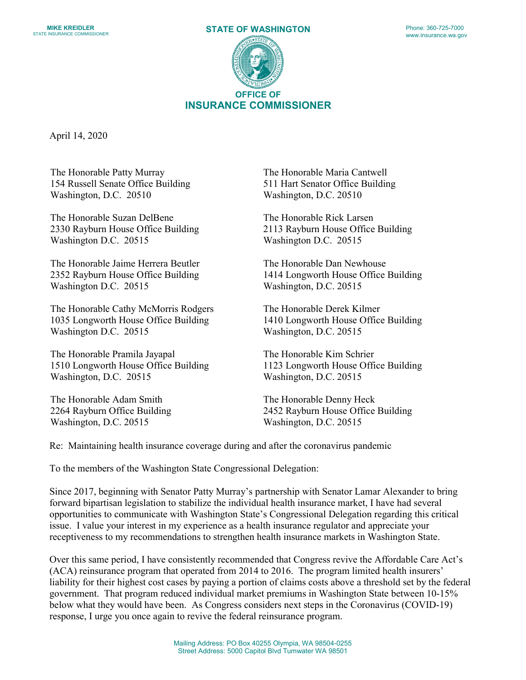



April 14, 2020

The Honorable Patty Murray 154 Russell Senate Office Building Washington, D.C. 20510

The Honorable Suzan DelBene 2330 Rayburn House Office Building Washington D.C. 20515

The Honorable Jaime Herrera Beutler 2352 Rayburn House Office Building Washington D.C. 20515

The Honorable Cathy McMorris Rodgers 1035 Longworth House Office Building Washington D.C. 20515

The Honorable Pramila Jayapal 1510 Longworth House Office Building Washington, D.C. 20515

The Honorable Adam Smith 2264 Rayburn Office Building Washington, D.C. 20515

The Honorable Maria Cantwell 511 Hart Senator Office Building Washington, D.C. 20510

The Honorable Rick Larsen 2113 Rayburn House Office Building Washington D.C. 20515

The Honorable Dan Newhouse 1414 Longworth House Office Building Washington, D.C. 20515

The Honorable Derek Kilmer 1410 Longworth House Office Building Washington, D.C. 20515

The Honorable Kim Schrier 1123 Longworth House Office Building Washington, D.C. 20515

The Honorable Denny Heck 2452 Rayburn House Office Building Washington, D.C. 20515

Re: Maintaining health insurance coverage during and after the coronavirus pandemic

To the members of the Washington State Congressional Delegation:

Since 2017, beginning with Senator Patty Murray's partnership with Senator Lamar Alexander to bring forward bipartisan legislation to stabilize the individual health insurance market, I have had several opportunities to communicate with Washington State's Congressional Delegation regarding this critical issue. I value your interest in my experience as a health insurance regulator and appreciate your receptiveness to my recommendations to strengthen health insurance markets in Washington State.

Over this same period, I have consistently recommended that Congress revive the Affordable Care Act's (ACA) reinsurance program that operated from 2014 to 2016. The program limited health insurers' liability for their highest cost cases by paying a portion of claims costs above a threshold set by the federal government. That program reduced individual market premiums in Washington State between 10-15% below what they would have been. As Congress considers next steps in the Coronavirus (COVID-19) response, I urge you once again to revive the federal reinsurance program.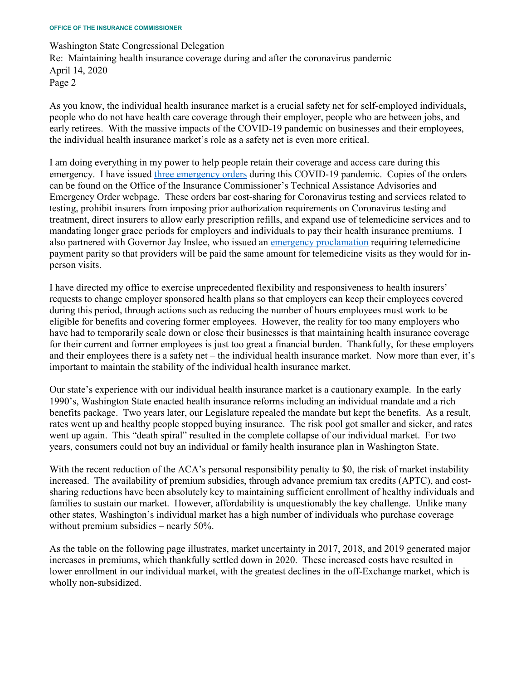Washington State Congressional Delegation Re: Maintaining health insurance coverage during and after the coronavirus pandemic April 14, 2020 Page 2

As you know, the individual health insurance market is a crucial safety net for self-employed individuals, people who do not have health care coverage through their employer, people who are between jobs, and early retirees. With the massive impacts of the COVID-19 pandemic on businesses and their employees, the individual health insurance market's role as a safety net is even more critical.

I am doing everything in my power to help people retain their coverage and access care during this emergency. I have issued [three emergency orders](https://www.insurance.wa.gov/technical-assistance-advisories-and-emergency-orders) during this COVID-19 pandemic. Copies of the orders can be found on the Office of the Insurance Commissioner's Technical Assistance Advisories and Emergency Order webpage. These orders bar cost-sharing for Coronavirus testing and services related to testing, prohibit insurers from imposing prior authorization requirements on Coronavirus testing and treatment, direct insurers to allow early prescription refills, and expand use of telemedicine services and to mandating longer grace periods for employers and individuals to pay their health insurance premiums. I also partnered with Governor Jay Inslee, who issued an [emergency proclamation](https://www.governor.wa.gov/sites/default/files/proclamations/20-29%20Coronovirus%20OIC%20%28tmp%29.pdf) requiring telemedicine payment parity so that providers will be paid the same amount for telemedicine visits as they would for inperson visits.

I have directed my office to exercise unprecedented flexibility and responsiveness to health insurers' requests to change employer sponsored health plans so that employers can keep their employees covered during this period, through actions such as reducing the number of hours employees must work to be eligible for benefits and covering former employees. However, the reality for too many employers who have had to temporarily scale down or close their businesses is that maintaining health insurance coverage for their current and former employees is just too great a financial burden. Thankfully, for these employers and their employees there is a safety net – the individual health insurance market. Now more than ever, it's important to maintain the stability of the individual health insurance market.

Our state's experience with our individual health insurance market is a cautionary example. In the early 1990's, Washington State enacted health insurance reforms including an individual mandate and a rich benefits package. Two years later, our Legislature repealed the mandate but kept the benefits. As a result, rates went up and healthy people stopped buying insurance. The risk pool got smaller and sicker, and rates went up again. This "death spiral" resulted in the complete collapse of our individual market. For two years, consumers could not buy an individual or family health insurance plan in Washington State.

With the recent reduction of the ACA's personal responsibility penalty to \$0, the risk of market instability increased. The availability of premium subsidies, through advance premium tax credits (APTC), and costsharing reductions have been absolutely key to maintaining sufficient enrollment of healthy individuals and families to sustain our market. However, affordability is unquestionably the key challenge. Unlike many other states, Washington's individual market has a high number of individuals who purchase coverage without premium subsidies – nearly 50%.

As the table on the following page illustrates, market uncertainty in 2017, 2018, and 2019 generated major increases in premiums, which thankfully settled down in 2020. These increased costs have resulted in lower enrollment in our individual market, with the greatest declines in the off-Exchange market, which is wholly non-subsidized.